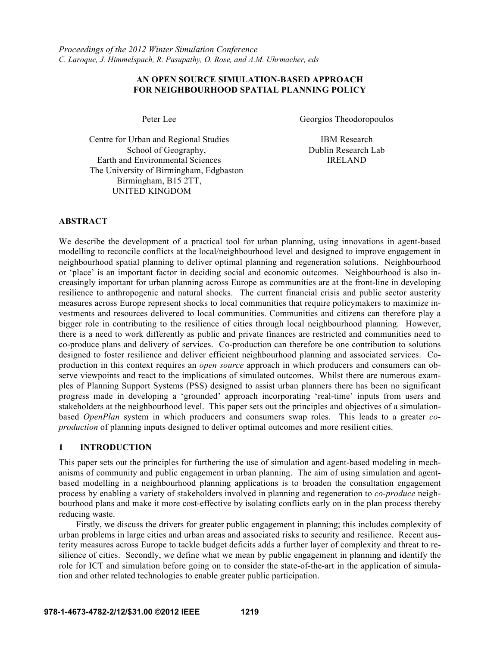# **AN OPEN SOURCE SIMULATION-BASED APPROACH FOR NEIGHBOURHOOD SPATIAL PLANNING POLICY**

Peter Lee

Georgios Theodoropoulos

Centre for Urban and Regional Studies School of Geography, Earth and Environmental Sciences The University of Birmingham, Edgbaston Birmingham, B15 2TT, UNITED KINGDOM

IBM Research Dublin Research Lab IRELAND

# **ABSTRACT**

We describe the development of a practical tool for urban planning, using innovations in agent-based modelling to reconcile conflicts at the local/neighbourhood level and designed to improve engagement in neighbourhood spatial planning to deliver optimal planning and regeneration solutions. Neighbourhood or 'place' is an important factor in deciding social and economic outcomes. Neighbourhood is also increasingly important for urban planning across Europe as communities are at the front-line in developing resilience to anthropogenic and natural shocks. The current financial crisis and public sector austerity measures across Europe represent shocks to local communities that require policymakers to maximize investments and resources delivered to local communities. Communities and citizens can therefore play a bigger role in contributing to the resilience of cities through local neighbourhood planning. However, there is a need to work differently as public and private finances are restricted and communities need to co-produce plans and delivery of services. Co-production can therefore be one contribution to solutions designed to foster resilience and deliver efficient neighbourhood planning and associated services. Coproduction in this context requires an *open source* approach in which producers and consumers can observe viewpoints and react to the implications of simulated outcomes. Whilst there are numerous examples of Planning Support Systems (PSS) designed to assist urban planners there has been no significant progress made in developing a 'grounded' approach incorporating 'real-time' inputs from users and stakeholders at the neighbourhood level. This paper sets out the principles and objectives of a simulationbased *OpenPlan* system in which producers and consumers swap roles. This leads to a greater *coproduction* of planning inputs designed to deliver optimal outcomes and more resilient cities.

### **1 INTRODUCTION**

This paper sets out the principles for furthering the use of simulation and agent-based modeling in mechanisms of community and public engagement in urban planning. The aim of using simulation and agentbased modelling in a neighbourhood planning applications is to broaden the consultation engagement process by enabling a variety of stakeholders involved in planning and regeneration to *co-produce* neighbourhood plans and make it more cost-effective by isolating conflicts early on in the plan process thereby reducing waste.

Firstly, we discuss the drivers for greater public engagement in planning; this includes complexity of urban problems in large cities and urban areas and associated risks to security and resilience. Recent austerity measures across Europe to tackle budget deficits adds a further layer of complexity and threat to resilience of cities. Secondly, we define what we mean by public engagement in planning and identify the role for ICT and simulation before going on to consider the state-of-the-art in the application of simulation and other related technologies to enable greater public participation.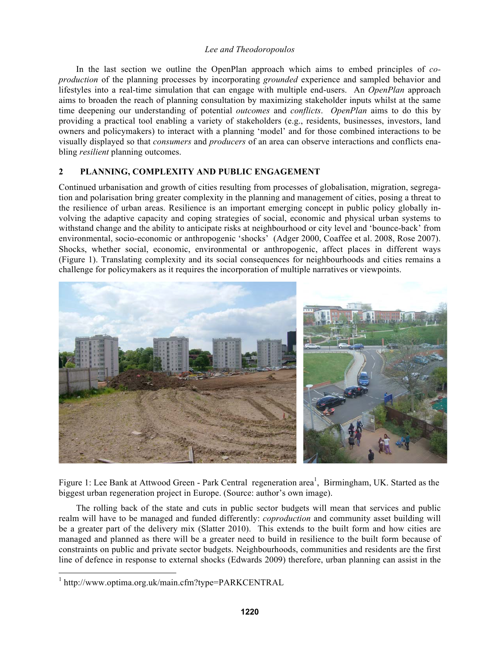In the last section we outline the OpenPlan approach which aims to embed principles of *coproduction* of the planning processes by incorporating *grounded* experience and sampled behavior and lifestyles into a real-time simulation that can engage with multiple end-users. An *OpenPlan* approach aims to broaden the reach of planning consultation by maximizing stakeholder inputs whilst at the same time deepening our understanding of potential *outcomes* and *conflicts*. *OpenPlan* aims to do this by providing a practical tool enabling a variety of stakeholders (e.g., residents, businesses, investors, land owners and policymakers) to interact with a planning 'model' and for those combined interactions to be visually displayed so that *consumers* and *producers* of an area can observe interactions and conflicts enabling *resilient* planning outcomes.

# **2 PLANNING, COMPLEXITY AND PUBLIC ENGAGEMENT**

Continued urbanisation and growth of cities resulting from processes of globalisation, migration, segregation and polarisation bring greater complexity in the planning and management of cities, posing a threat to the resilience of urban areas. Resilience is an important emerging concept in public policy globally involving the adaptive capacity and coping strategies of social, economic and physical urban systems to withstand change and the ability to anticipate risks at neighbourhood or city level and 'bounce-back' from environmental, socio-economic or anthropogenic 'shocks' (Adger 2000, Coaffee et al. 2008, Rose 2007). Shocks, whether social, economic, environmental or anthropogenic, affect places in different ways (Figure 1). Translating complexity and its social consequences for neighbourhoods and cities remains a challenge for policymakers as it requires the incorporation of multiple narratives or viewpoints.



Figure 1: Lee Bank at Attwood Green - Park Central regeneration area<sup>1</sup>, Birmingham, UK. Started as the biggest urban regeneration project in Europe. (Source: author's own image).

The rolling back of the state and cuts in public sector budgets will mean that services and public realm will have to be managed and funded differently: *coproduction* and community asset building will be a greater part of the delivery mix (Slatter 2010). This extends to the built form and how cities are managed and planned as there will be a greater need to build in resilience to the built form because of constraints on public and private sector budgets. Neighbourhoods, communities and residents are the first line of defence in response to external shocks (Edwards 2009) therefore, urban planning can assist in the

 $\overline{a}$ 

<sup>1</sup> http://www.optima.org.uk/main.cfm?type=PARKCENTRAL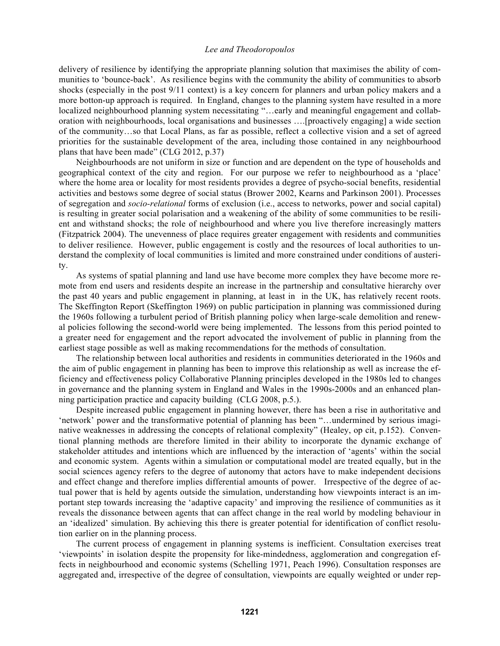delivery of resilience by identifying the appropriate planning solution that maximises the ability of communities to 'bounce-back'. As resilience begins with the community the ability of communities to absorb shocks (especially in the post 9/11 context) is a key concern for planners and urban policy makers and a more botton-up approach is required. In England, changes to the planning system have resulted in a more localized neighbourhood planning system necessitating "…early and meaningful engagement and collaboration with neighbourhoods, local organisations and businesses ….[proactively engaging] a wide section of the community…so that Local Plans, as far as possible, reflect a collective vision and a set of agreed priorities for the sustainable development of the area, including those contained in any neighbourhood plans that have been made" (CLG 2012, p.37)

Neighbourhoods are not uniform in size or function and are dependent on the type of households and geographical context of the city and region. For our purpose we refer to neighbourhood as a 'place' where the home area or locality for most residents provides a degree of psycho-social benefits, residential activities and bestows some degree of social status (Brower 2002, Kearns and Parkinson 2001). Processes of segregation and *socio-relational* forms of exclusion (i.e., access to networks, power and social capital) is resulting in greater social polarisation and a weakening of the ability of some communities to be resilient and withstand shocks; the role of neighbourhood and where you live therefore increasingly matters (Fitzpatrick 2004). The unevenness of place requires greater engagement with residents and communities to deliver resilience. However, public engagement is costly and the resources of local authorities to understand the complexity of local communities is limited and more constrained under conditions of austerity.

As systems of spatial planning and land use have become more complex they have become more remote from end users and residents despite an increase in the partnership and consultative hierarchy over the past 40 years and public engagement in planning, at least in in the UK, has relatively recent roots. The Skeffington Report (Skeffington 1969) on public participation in planning was commissioned during the 1960s following a turbulent period of British planning policy when large-scale demolition and renewal policies following the second-world were being implemented. The lessons from this period pointed to a greater need for engagement and the report advocated the involvement of public in planning from the earliest stage possible as well as making recommendations for the methods of consultation.

The relationship between local authorities and residents in communities deteriorated in the 1960s and the aim of public engagement in planning has been to improve this relationship as well as increase the efficiency and effectiveness policy Collaborative Planning principles developed in the 1980s led to changes in governance and the planning system in England and Wales in the 1990s-2000s and an enhanced planning participation practice and capacity building (CLG 2008, p.5.).

Despite increased public engagement in planning however, there has been a rise in authoritative and 'network' power and the transformative potential of planning has been "…undermined by serious imaginative weaknesses in addressing the concepts of relational complexity" (Healey, op cit, p.152). Conventional planning methods are therefore limited in their ability to incorporate the dynamic exchange of stakeholder attitudes and intentions which are influenced by the interaction of 'agents' within the social and economic system. Agents within a simulation or computational model are treated equally, but in the social sciences agency refers to the degree of autonomy that actors have to make independent decisions and effect change and therefore implies differential amounts of power. Irrespective of the degree of actual power that is held by agents outside the simulation, understanding how viewpoints interact is an important step towards increasing the 'adaptive capacity' and improving the resilience of communities as it reveals the dissonance between agents that can affect change in the real world by modeling behaviour in an 'idealized' simulation. By achieving this there is greater potential for identification of conflict resolution earlier on in the planning process.

The current process of engagement in planning systems is inefficient. Consultation exercises treat 'viewpoints' in isolation despite the propensity for like-mindedness, agglomeration and congregation effects in neighbourhood and economic systems (Schelling 1971, Peach 1996). Consultation responses are aggregated and, irrespective of the degree of consultation, viewpoints are equally weighted or under rep-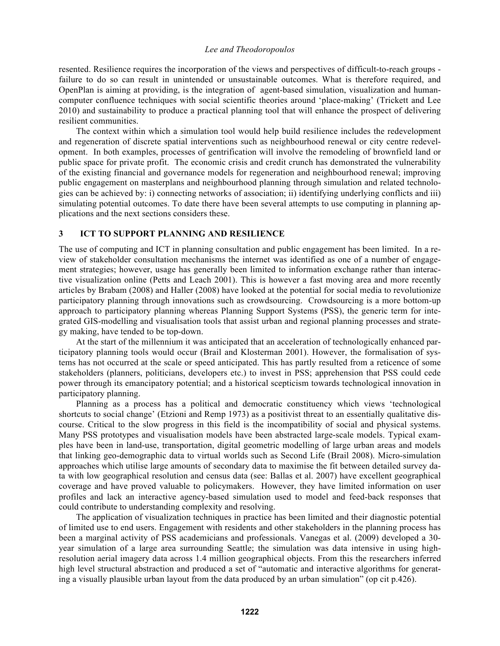resented. Resilience requires the incorporation of the views and perspectives of difficult-to-reach groups failure to do so can result in unintended or unsustainable outcomes. What is therefore required, and OpenPlan is aiming at providing, is the integration of agent-based simulation, visualization and humancomputer confluence techniques with social scientific theories around 'place-making' (Trickett and Lee 2010) and sustainability to produce a practical planning tool that will enhance the prospect of delivering resilient communities.

The context within which a simulation tool would help build resilience includes the redevelopment and regeneration of discrete spatial interventions such as neighbourhood renewal or city centre redevelopment. In both examples, processes of gentrification will involve the remodeling of brownfield land or public space for private profit. The economic crisis and credit crunch has demonstrated the vulnerability of the existing financial and governance models for regeneration and neighbourhood renewal; improving public engagement on masterplans and neighbourhood planning through simulation and related technologies can be achieved by: i) connecting networks of association; ii) identifying underlying conflicts and iii) simulating potential outcomes. To date there have been several attempts to use computing in planning applications and the next sections considers these.

### **3 ICT TO SUPPORT PLANNING AND RESILIENCE**

The use of computing and ICT in planning consultation and public engagement has been limited. In a review of stakeholder consultation mechanisms the internet was identified as one of a number of engagement strategies; however, usage has generally been limited to information exchange rather than interactive visualization online (Petts and Leach 2001). This is however a fast moving area and more recently articles by Brabam (2008) and Haller (2008) have looked at the potential for social media to revolutionize participatory planning through innovations such as crowdsourcing. Crowdsourcing is a more bottom-up approach to participatory planning whereas Planning Support Systems (PSS), the generic term for integrated GIS-modelling and visualisation tools that assist urban and regional planning processes and strategy making, have tended to be top-down.

At the start of the millennium it was anticipated that an acceleration of technologically enhanced participatory planning tools would occur (Brail and Klosterman 2001). However, the formalisation of systems has not occurred at the scale or speed anticipated. This has partly resulted from a reticence of some stakeholders (planners, politicians, developers etc.) to invest in PSS; apprehension that PSS could cede power through its emancipatory potential; and a historical scepticism towards technological innovation in participatory planning.

Planning as a process has a political and democratic constituency which views 'technological shortcuts to social change' (Etzioni and Remp 1973) as a positivist threat to an essentially qualitative discourse. Critical to the slow progress in this field is the incompatibility of social and physical systems. Many PSS prototypes and visualisation models have been abstracted large-scale models. Typical examples have been in land-use, transportation, digital geometric modelling of large urban areas and models that linking geo-demographic data to virtual worlds such as Second Life (Brail 2008). Micro-simulation approaches which utilise large amounts of secondary data to maximise the fit between detailed survey data with low geographical resolution and census data (see: Ballas et al. 2007) have excellent geographical coverage and have proved valuable to policymakers. However, they have limited information on user profiles and lack an interactive agency-based simulation used to model and feed-back responses that could contribute to understanding complexity and resolving.

The application of visualization techniques in practice has been limited and their diagnostic potential of limited use to end users. Engagement with residents and other stakeholders in the planning process has been a marginal activity of PSS academicians and professionals. Vanegas et al. (2009) developed a 30 year simulation of a large area surrounding Seattle; the simulation was data intensive in using highresolution aerial imagery data across 1.4 million geographical objects. From this the researchers inferred high level structural abstraction and produced a set of "automatic and interactive algorithms for generating a visually plausible urban layout from the data produced by an urban simulation" (op cit p.426).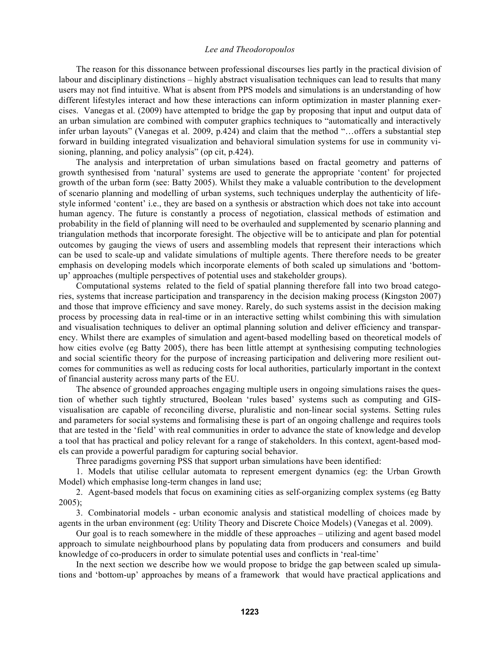The reason for this dissonance between professional discourses lies partly in the practical division of labour and disciplinary distinctions – highly abstract visualisation techniques can lead to results that many users may not find intuitive. What is absent from PPS models and simulations is an understanding of how different lifestyles interact and how these interactions can inform optimization in master planning exercises. Vanegas et al. (2009) have attempted to bridge the gap by proposing that input and output data of an urban simulation are combined with computer graphics techniques to "automatically and interactively infer urban layouts" (Vanegas et al. 2009, p.424) and claim that the method "…offers a substantial step forward in building integrated visualization and behavioral simulation systems for use in community visioning, planning, and policy analysis" (op cit, p.424).

The analysis and interpretation of urban simulations based on fractal geometry and patterns of growth synthesised from 'natural' systems are used to generate the appropriate 'content' for projected growth of the urban form (see: Batty 2005). Whilst they make a valuable contribution to the development of scenario planning and modelling of urban systems, such techniques underplay the authenticity of lifestyle informed 'content' i.e., they are based on a synthesis or abstraction which does not take into account human agency. The future is constantly a process of negotiation, classical methods of estimation and probability in the field of planning will need to be overhauled and supplemented by scenario planning and triangulation methods that incorporate foresight. The objective will be to anticipate and plan for potential outcomes by gauging the views of users and assembling models that represent their interactions which can be used to scale-up and validate simulations of multiple agents. There therefore needs to be greater emphasis on developing models which incorporate elements of both scaled up simulations and 'bottomup' approaches (multiple perspectives of potential uses and stakeholder groups).

Computational systems related to the field of spatial planning therefore fall into two broad categories, systems that increase participation and transparency in the decision making process (Kingston 2007) and those that improve efficiency and save money. Rarely, do such systems assist in the decision making process by processing data in real-time or in an interactive setting whilst combining this with simulation and visualisation techniques to deliver an optimal planning solution and deliver efficiency and transparency. Whilst there are examples of simulation and agent-based modelling based on theoretical models of how cities evolve (eg Batty 2005), there has been little attempt at synthesising computing technologies and social scientific theory for the purpose of increasing participation and delivering more resilient outcomes for communities as well as reducing costs for local authorities, particularly important in the context of financial austerity across many parts of the EU.

The absence of grounded approaches engaging multiple users in ongoing simulations raises the question of whether such tightly structured, Boolean 'rules based' systems such as computing and GISvisualisation are capable of reconciling diverse, pluralistic and non-linear social systems. Setting rules and parameters for social systems and formalising these is part of an ongoing challenge and requires tools that are tested in the 'field' with real communities in order to advance the state of knowledge and develop a tool that has practical and policy relevant for a range of stakeholders. In this context, agent-based models can provide a powerful paradigm for capturing social behavior.

Three paradigms governing PSS that support urban simulations have been identified:

1. Models that utilise cellular automata to represent emergent dynamics (eg: the Urban Growth Model) which emphasise long-term changes in land use;

2. Agent-based models that focus on examining cities as self-organizing complex systems (eg Batty  $2005$ );

3. Combinatorial models - urban economic analysis and statistical modelling of choices made by agents in the urban environment (eg: Utility Theory and Discrete Choice Models) (Vanegas et al. 2009).

Our goal is to reach somewhere in the middle of these approaches – utilizing and agent based model approach to simulate neighbourhood plans by populating data from producers and consumers and build knowledge of co-producers in order to simulate potential uses and conflicts in 'real-time'

In the next section we describe how we would propose to bridge the gap between scaled up simulations and 'bottom-up' approaches by means of a framework that would have practical applications and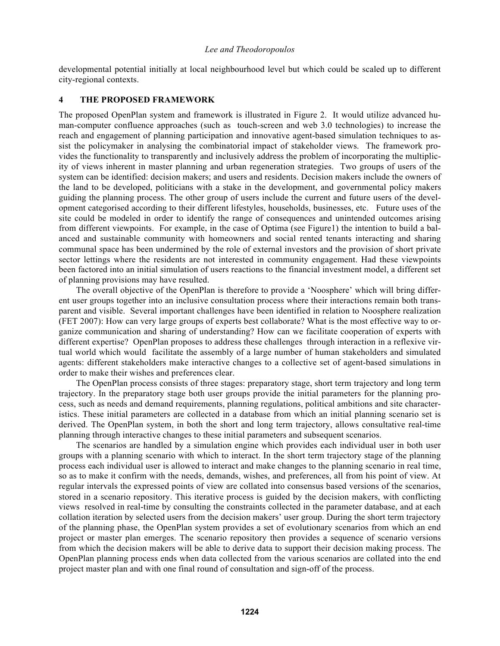developmental potential initially at local neighbourhood level but which could be scaled up to different city-regional contexts.

### **4 THE PROPOSED FRAMEWORK**

The proposed OpenPlan system and framework is illustrated in Figure 2. It would utilize advanced human-computer confluence approaches (such as touch-screen and web 3.0 technologies) to increase the reach and engagement of planning participation and innovative agent-based simulation techniques to assist the policymaker in analysing the combinatorial impact of stakeholder views. The framework provides the functionality to transparently and inclusively address the problem of incorporating the multiplicity of views inherent in master planning and urban regeneration strategies. Two groups of users of the system can be identified: decision makers; and users and residents. Decision makers include the owners of the land to be developed, politicians with a stake in the development, and governmental policy makers guiding the planning process. The other group of users include the current and future users of the development categorised according to their different lifestyles, households, businesses, etc. Future uses of the site could be modeled in order to identify the range of consequences and unintended outcomes arising from different viewpoints. For example, in the case of Optima (see Figure1) the intention to build a balanced and sustainable community with homeowners and social rented tenants interacting and sharing communal space has been undermined by the role of external investors and the provision of short private sector lettings where the residents are not interested in community engagement. Had these viewpoints been factored into an initial simulation of users reactions to the financial investment model, a different set of planning provisions may have resulted.

The overall objective of the OpenPlan is therefore to provide a 'Noosphere' which will bring different user groups together into an inclusive consultation process where their interactions remain both transparent and visible. Several important challenges have been identified in relation to Noosphere realization (FET 2007): How can very large groups of experts best collaborate? What is the most effective way to organize communication and sharing of understanding? How can we facilitate cooperation of experts with different expertise? OpenPlan proposes to address these challenges through interaction in a reflexive virtual world which would facilitate the assembly of a large number of human stakeholders and simulated agents: different stakeholders make interactive changes to a collective set of agent-based simulations in order to make their wishes and preferences clear.

The OpenPlan process consists of three stages: preparatory stage, short term trajectory and long term trajectory. In the preparatory stage both user groups provide the initial parameters for the planning process, such as needs and demand requirements, planning regulations, political ambitions and site characteristics. These initial parameters are collected in a database from which an initial planning scenario set is derived. The OpenPlan system, in both the short and long term trajectory, allows consultative real-time planning through interactive changes to these initial parameters and subsequent scenarios.

The scenarios are handled by a simulation engine which provides each individual user in both user groups with a planning scenario with which to interact. In the short term trajectory stage of the planning process each individual user is allowed to interact and make changes to the planning scenario in real time, so as to make it confirm with the needs, demands, wishes, and preferences, all from his point of view. At regular intervals the expressed points of view are collated into consensus based versions of the scenarios, stored in a scenario repository. This iterative process is guided by the decision makers, with conflicting views resolved in real-time by consulting the constraints collected in the parameter database, and at each collation iteration by selected users from the decision makers' user group. During the short term trajectory of the planning phase, the OpenPlan system provides a set of evolutionary scenarios from which an end project or master plan emerges. The scenario repository then provides a sequence of scenario versions from which the decision makers will be able to derive data to support their decision making process. The OpenPlan planning process ends when data collected from the various scenarios are collated into the end project master plan and with one final round of consultation and sign-off of the process.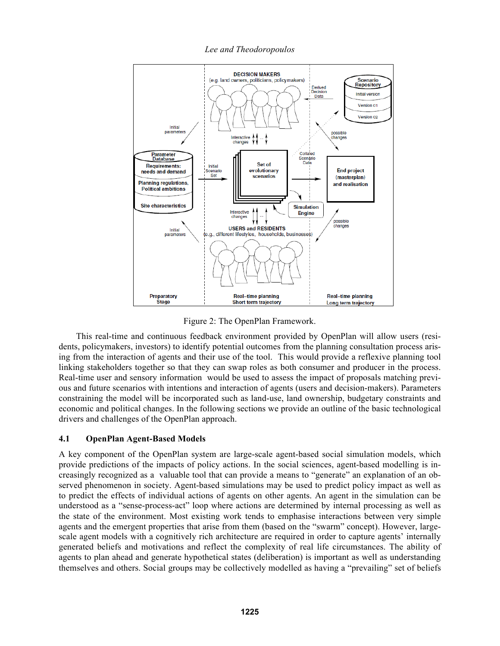



Figure 2: The OpenPlan Framework.

This real-time and continuous feedback environment provided by OpenPlan will allow users (residents, policymakers, investors) to identify potential outcomes from the planning consultation process arising from the interaction of agents and their use of the tool. This would provide a reflexive planning tool linking stakeholders together so that they can swap roles as both consumer and producer in the process. Real-time user and sensory information would be used to assess the impact of proposals matching previous and future scenarios with intentions and interaction of agents (users and decision-makers). Parameters constraining the model will be incorporated such as land-use, land ownership, budgetary constraints and economic and political changes. In the following sections we provide an outline of the basic technological drivers and challenges of the OpenPlan approach.

# **4.1 OpenPlan Agent-Based Models**

A key component of the OpenPlan system are large-scale agent-based social simulation models, which provide predictions of the impacts of policy actions. In the social sciences, agent-based modelling is increasingly recognized as a valuable tool that can provide a means to "generate" an explanation of an observed phenomenon in society. Agent-based simulations may be used to predict policy impact as well as to predict the effects of individual actions of agents on other agents. An agent in the simulation can be understood as a "sense-process-act" loop where actions are determined by internal processing as well as the state of the environment. Most existing work tends to emphasise interactions between very simple agents and the emergent properties that arise from them (based on the "swarm" concept). However, largescale agent models with a cognitively rich architecture are required in order to capture agents' internally generated beliefs and motivations and reflect the complexity of real life circumstances. The ability of agents to plan ahead and generate hypothetical states (deliberation) is important as well as understanding themselves and others. Social groups may be collectively modelled as having a "prevailing" set of beliefs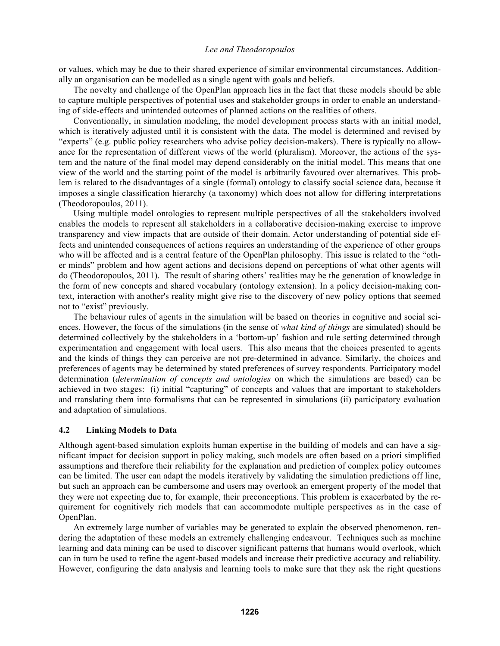or values, which may be due to their shared experience of similar environmental circumstances. Additionally an organisation can be modelled as a single agent with goals and beliefs.

 The novelty and challenge of the OpenPlan approach lies in the fact that these models should be able to capture multiple perspectives of potential uses and stakeholder groups in order to enable an understanding of side-effects and unintended outcomes of planned actions on the realities of others.

 Conventionally, in simulation modeling, the model development process starts with an initial model, which is iteratively adjusted until it is consistent with the data. The model is determined and revised by "experts" (e.g. public policy researchers who advise policy decision-makers). There is typically no allowance for the representation of different views of the world (pluralism). Moreover, the actions of the system and the nature of the final model may depend considerably on the initial model. This means that one view of the world and the starting point of the model is arbitrarily favoured over alternatives. This problem is related to the disadvantages of a single (formal) ontology to classify social science data, because it imposes a single classification hierarchy (a taxonomy) which does not allow for differing interpretations (Theodoropoulos, 2011).

 Using multiple model ontologies to represent multiple perspectives of all the stakeholders involved enables the models to represent all stakeholders in a collaborative decision-making exercise to improve transparency and view impacts that are outside of their domain. Actor understanding of potential side effects and unintended consequences of actions requires an understanding of the experience of other groups who will be affected and is a central feature of the OpenPlan philosophy. This issue is related to the "other minds" problem and how agent actions and decisions depend on perceptions of what other agents will do (Theodoropoulos, 2011). The result of sharing others' realities may be the generation of knowledge in the form of new concepts and shared vocabulary (ontology extension). In a policy decision-making context, interaction with another's reality might give rise to the discovery of new policy options that seemed not to "exist" previously.

 The behaviour rules of agents in the simulation will be based on theories in cognitive and social sciences. However, the focus of the simulations (in the sense of *what kind of things* are simulated) should be determined collectively by the stakeholders in a 'bottom-up' fashion and rule setting determined through experimentation and engagement with local users. This also means that the choices presented to agents and the kinds of things they can perceive are not pre-determined in advance. Similarly, the choices and preferences of agents may be determined by stated preferences of survey respondents. Participatory model determination (*determination of concepts and ontologies* on which the simulations are based) can be achieved in two stages: (i) initial "capturing" of concepts and values that are important to stakeholders and translating them into formalisms that can be represented in simulations (ii) participatory evaluation and adaptation of simulations.

### **4.2 Linking Models to Data**

Although agent-based simulation exploits human expertise in the building of models and can have a significant impact for decision support in policy making, such models are often based on a priori simplified assumptions and therefore their reliability for the explanation and prediction of complex policy outcomes can be limited. The user can adapt the models iteratively by validating the simulation predictions off line, but such an approach can be cumbersome and users may overlook an emergent property of the model that they were not expecting due to, for example, their preconceptions. This problem is exacerbated by the requirement for cognitively rich models that can accommodate multiple perspectives as in the case of OpenPlan.

 An extremely large number of variables may be generated to explain the observed phenomenon, rendering the adaptation of these models an extremely challenging endeavour. Techniques such as machine learning and data mining can be used to discover significant patterns that humans would overlook, which can in turn be used to refine the agent-based models and increase their predictive accuracy and reliability. However, configuring the data analysis and learning tools to make sure that they ask the right questions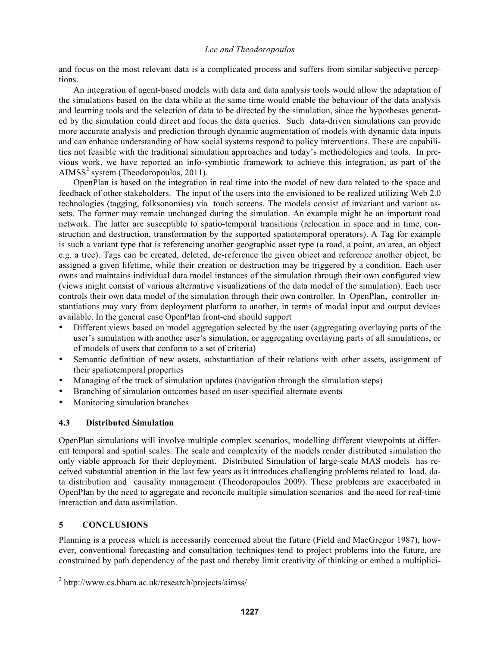and focus on the most relevant data is a complicated process and suffers from similar subjective perceptions.

 An integration of agent-based models with data and data analysis tools would allow the adaptation of the simulations based on the data while at the same time would enable the behaviour of the data analysis and learning tools and the selection of data to be directed by the simulation, since the hypotheses generated by the simulation could direct and focus the data queries. Such data-driven simulations can provide more accurate analysis and prediction through dynamic augmentation of models with dynamic data inputs and can enhance understanding of how social systems respond to policy interventions. These are capabilities not feasible with the traditional simulation approaches and today's methodologies and tools. In previous work, we have reported an info-symbiotic framework to achieve this integration, as part of the  $AIMSS<sup>2</sup> system (Theodoropoulos, 2011).$ 

 OpenPlan is based on the integration in real time into the model of new data related to the space and feedback of other stakeholders. The input of the users into the envisioned to be realized utilizing Web 2.0 technologies (tagging, folksonomies) via touch screens. The models consist of invariant and variant assets. The former may remain unchanged during the simulation. An example might be an important road network. The latter are susceptible to spatio-temporal transitions (relocation in space and in time, construction and destruction, transformation by the supported spatiotemporal operators). A Tag for example is such a variant type that is referencing another geographic asset type (a road, a point, an area, an object e.g. a tree). Tags can be created, deleted, de-reference the given object and reference another object, be assigned a given lifetime, while their creation or destruction may be triggered by a condition. Each user owns and maintains individual data model instances of the simulation through their own configured view (views might consist of various alternative visualizations of the data model of the simulation). Each user controls their own data model of the simulation through their own controller. In OpenPlan, controller instantiations may vary from deployment platform to another, in terms of modal input and output devices available. In the general case OpenPlan front-end should support

- Different views based on model aggregation selected by the user (aggregating overlaying parts of the user's simulation with another user's simulation, or aggregating overlaying parts of all simulations, or of models of users that conform to a set of criteria)
- Semantic definition of new assets, substantiation of their relations with other assets, assignment of their spatiotemporal properties
- Managing of the track of simulation updates (navigation through the simulation steps)
- Branching of simulation outcomes based on user-specified alternate events
- Monitoring simulation branches

# **4.3 Distributed Simulation**

OpenPlan simulations will involve multiple complex scenarios, modelling different viewpoints at different temporal and spatial scales. The scale and complexity of the models render distributed simulation the only viable approach for their deployment. Distributed Simulation of large-scale MAS models has received substantial attention in the last few years as it introduces challenging problems related to load, data distribution and causality management (Theodoropoulos 2009). These problems are exacerbated in OpenPlan by the need to aggregate and reconcile multiple simulation scenarios and the need for real-time interaction and data assimilation.

# **5 CONCLUSIONS**

 $\overline{a}$ 

Planning is a process which is necessarily concerned about the future (Field and MacGregor 1987), however, conventional forecasting and consultation techniques tend to project problems into the future, are constrained by path dependency of the past and thereby limit creativity of thinking or embed a multiplici-

<sup>&</sup>lt;sup>2</sup> http://www.cs.bham.ac.uk/research/projects/aimss/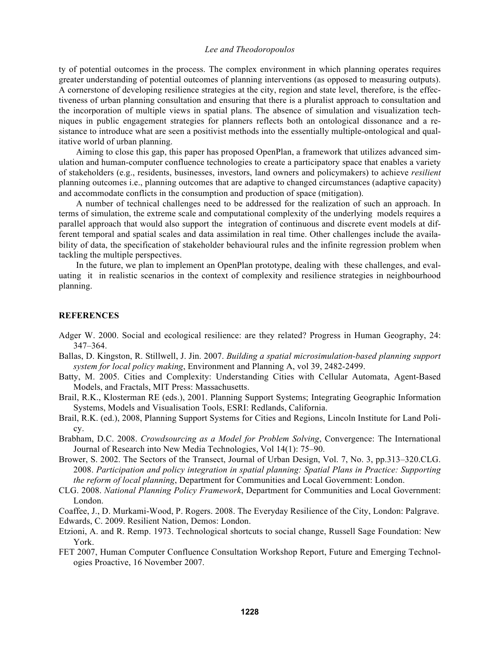ty of potential outcomes in the process. The complex environment in which planning operates requires greater understanding of potential outcomes of planning interventions (as opposed to measuring outputs). A cornerstone of developing resilience strategies at the city, region and state level, therefore, is the effectiveness of urban planning consultation and ensuring that there is a pluralist approach to consultation and the incorporation of multiple views in spatial plans. The absence of simulation and visualization techniques in public engagement strategies for planners reflects both an ontological dissonance and a resistance to introduce what are seen a positivist methods into the essentially multiple-ontological and qualitative world of urban planning.

Aiming to close this gap, this paper has proposed OpenPlan, a framework that utilizes advanced simulation and human-computer confluence technologies to create a participatory space that enables a variety of stakeholders (e.g., residents, businesses, investors, land owners and policymakers) to achieve *resilient* planning outcomes i.e., planning outcomes that are adaptive to changed circumstances (adaptive capacity) and accommodate conflicts in the consumption and production of space (mitigation).

A number of technical challenges need to be addressed for the realization of such an approach. In terms of simulation, the extreme scale and computational complexity of the underlying models requires a parallel approach that would also support the integration of continuous and discrete event models at different temporal and spatial scales and data assimilation in real time. Other challenges include the availability of data, the specification of stakeholder behavioural rules and the infinite regression problem when tackling the multiple perspectives.

In the future, we plan to implement an OpenPlan prototype, dealing with these challenges, and evaluating it in realistic scenarios in the context of complexity and resilience strategies in neighbourhood planning.

### **REFERENCES**

- Adger W. 2000. Social and ecological resilience: are they related? Progress in Human Geography, 24: 347–364.
- Ballas, D. Kingston, R. Stillwell, J. Jin. 2007. *Building a spatial microsimulation-based planning support system for local policy making*, Environment and Planning A, vol 39, 2482-2499.
- Batty, M. 2005. Cities and Complexity: Understanding Cities with Cellular Automata, Agent-Based Models, and Fractals, MIT Press: Massachusetts.
- Brail, R.K., Klosterman RE (eds.), 2001. Planning Support Systems; Integrating Geographic Information Systems, Models and Visualisation Tools, ESRI: Redlands, California.
- Brail, R.K. (ed.), 2008, Planning Support Systems for Cities and Regions, Lincoln Institute for Land Policy.
- Brabham, D.C. 2008. *Crowdsourcing as a Model for Problem Solving*, Convergence: The International Journal of Research into New Media Technologies, Vol 14(1): 75–90.
- Brower, S. 2002. The Sectors of the Transect, Journal of Urban Design, Vol. 7, No. 3, pp.313–320.CLG. 2008. *Participation and policy integration in spatial planning: Spatial Plans in Practice: Supporting the reform of local planning*, Department for Communities and Local Government: London.
- CLG. 2008. *National Planning Policy Framework*, Department for Communities and Local Government: London.

Coaffee, J., D. Murkami-Wood, P. Rogers. 2008. The Everyday Resilience of the City, London: Palgrave. Edwards, C. 2009. Resilient Nation, Demos: London.

- Etzioni, A. and R. Remp. 1973. Technological shortcuts to social change, Russell Sage Foundation: New York.
- FET 2007, Human Computer Confluence Consultation Workshop Report, Future and Emerging Technologies Proactive, 16 November 2007.